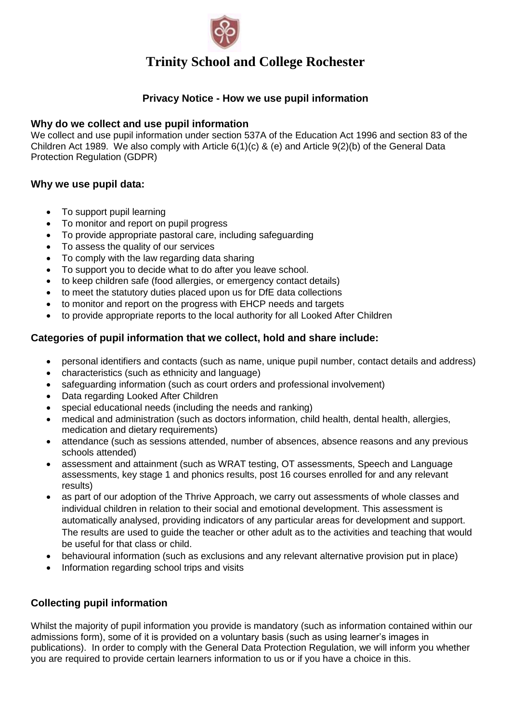

### **Privacy Notice - How we use pupil information**

#### **Why do we collect and use pupil information**

We collect and use pupil information under section 537A of the Education Act 1996 and section 83 of the Children Act 1989. We also comply with Article 6(1)(c) & (e) and Article 9(2)(b) of the General Data Protection Regulation (GDPR)

#### **Why we use pupil data:**

- To support pupil learning
- To monitor and report on pupil progress
- To provide appropriate pastoral care, including safeguarding
- To assess the quality of our services
- To comply with the law regarding data sharing
- To support you to decide what to do after you leave school.
- to keep children safe (food allergies, or emergency contact details)
- to meet the statutory duties placed upon us for DfE data collections
- to monitor and report on the progress with EHCP needs and targets
- to provide appropriate reports to the local authority for all Looked After Children

## **Categories of pupil information that we collect, hold and share include:**

- personal identifiers and contacts (such as name, unique pupil number, contact details and address)
- characteristics (such as ethnicity and language)
- safeguarding information (such as court orders and professional involvement)
- Data regarding Looked After Children
- special educational needs (including the needs and ranking)
- medical and administration (such as doctors information, child health, dental health, allergies, medication and dietary requirements)
- attendance (such as sessions attended, number of absences, absence reasons and any previous schools attended)
- assessment and attainment (such as WRAT testing, OT assessments, Speech and Language assessments, key stage 1 and phonics results, post 16 courses enrolled for and any relevant results)
- as part of our adoption of the Thrive Approach, we carry out assessments of whole classes and individual children in relation to their social and emotional development. This assessment is automatically analysed, providing indicators of any particular areas for development and support. The results are used to guide the teacher or other adult as to the activities and teaching that would be useful for that class or child.
- behavioural information (such as exclusions and any relevant alternative provision put in place)
- Information regarding school trips and visits

## **Collecting pupil information**

Whilst the majority of pupil information you provide is mandatory (such as information contained within our admissions form), some of it is provided on a voluntary basis (such as using learner's images in publications). In order to comply with the General Data Protection Regulation, we will inform you whether you are required to provide certain learners information to us or if you have a choice in this.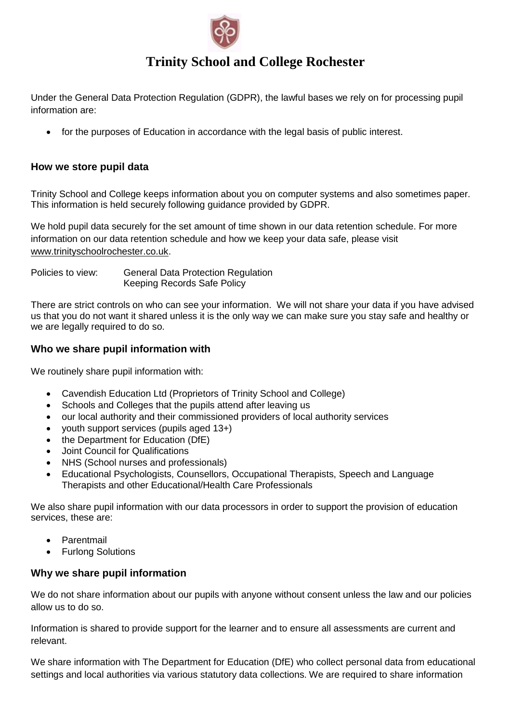

Under the General Data Protection Regulation (GDPR), the lawful bases we rely on for processing pupil information are:

• for the purposes of Education in accordance with the legal basis of public interest.

#### **How we store pupil data**

Trinity School and College keeps information about you on computer systems and also sometimes paper. This information is held securely following guidance provided by GDPR.

We hold pupil data securely for the set amount of time shown in our data retention schedule. For more information on our data retention schedule and how we keep your data safe, please visit [www.trinityschoolrochester.co.uk.](http://www.trinityschoolrochester.co.uk/)

Policies to view: General Data Protection Regulation Keeping Records Safe Policy

There are strict controls on who can see your information. We will not share your data if you have advised us that you do not want it shared unless it is the only way we can make sure you stay safe and healthy or we are legally required to do so.

## **Who we share pupil information with**

We routinely share pupil information with:

- Cavendish Education Ltd (Proprietors of Trinity School and College)
- Schools and Colleges that the pupils attend after leaving us
- our local authority and their commissioned providers of local authority services
- youth support services (pupils aged 13+)
- the Department for Education (DfE)
- Joint Council for Qualifications
- NHS (School nurses and professionals)
- Educational Psychologists, Counsellors, Occupational Therapists, Speech and Language Therapists and other Educational/Health Care Professionals

We also share pupil information with our data processors in order to support the provision of education services, these are:

- Parentmail
- Furlong Solutions

#### **Why we share pupil information**

We do not share information about our pupils with anyone without consent unless the law and our policies allow us to do so.

Information is shared to provide support for the learner and to ensure all assessments are current and relevant.

We share information with The Department for Education (DfE) who collect personal data from educational settings and local authorities via various statutory data collections. We are required to share information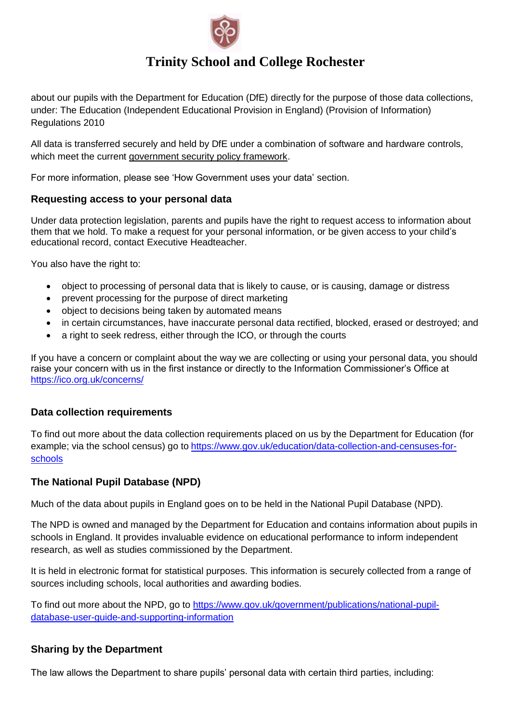

about our pupils with the Department for Education (DfE) directly for the purpose of those data collections, under: The Education (Independent Educational Provision in England) (Provision of Information) Regulations 2010

All data is transferred securely and held by DfE under a combination of software and hardware controls, which meet the current [government security policy framework.](https://www.gov.uk/government/publications/security-policy-framework)

For more information, please see 'How Government uses your data' section.

#### **Requesting access to your personal data**

Under data protection legislation, parents and pupils have the right to request access to information about them that we hold. To make a request for your personal information, or be given access to your child's educational record, contact Executive Headteacher.

You also have the right to:

- object to processing of personal data that is likely to cause, or is causing, damage or distress
- prevent processing for the purpose of direct marketing
- object to decisions being taken by automated means
- in certain circumstances, have inaccurate personal data rectified, blocked, erased or destroyed; and
- a right to seek redress, either through the ICO, or through the courts

If you have a concern or complaint about the way we are collecting or using your personal data, you should raise your concern with us in the first instance or directly to the Information Commissioner's Office at <https://ico.org.uk/concerns/>

#### **Data collection requirements**

To find out more about the data collection requirements placed on us by the Department for Education (for example; via the school census) go to [https://www.gov.uk/education/data-collection-and-censuses-for](https://www.gov.uk/education/data-collection-and-censuses-for-schools)[schools](https://www.gov.uk/education/data-collection-and-censuses-for-schools)

#### **The National Pupil Database (NPD)**

Much of the data about pupils in England goes on to be held in the National Pupil Database (NPD).

The NPD is owned and managed by the Department for Education and contains information about pupils in schools in England. It provides invaluable evidence on educational performance to inform independent research, as well as studies commissioned by the Department.

It is held in electronic format for statistical purposes. This information is securely collected from a range of sources including schools, local authorities and awarding bodies.

To find out more about the NPD, go to [https://www.gov.uk/government/publications/national-pupil](https://www.gov.uk/government/publications/national-pupil-database-user-guide-and-supporting-information)[database-user-guide-and-supporting-information](https://www.gov.uk/government/publications/national-pupil-database-user-guide-and-supporting-information)

## **Sharing by the Department**

The law allows the Department to share pupils' personal data with certain third parties, including: